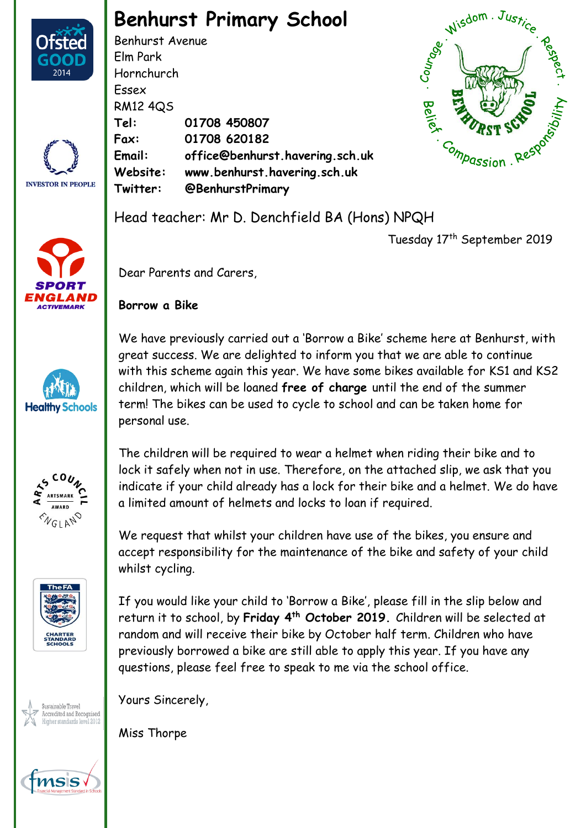

## **Benhurst Primary School**

Benhurst Avenue Elm Park Hornchurch Essex RM12 4QS **Tel: 01708 450807 Fax: 01708 620182 Email: office@benhurst.havering.sch.uk Website: www.benhurst.havering.sch.uk Twitter: @BenhurstPrimary**

Dear Parents and Carers,

**Borrow a Bike**

Head teacher: Mr D. Denchfield BA (Hons) NPQH



Tuesday 17th September 2019

**INVESTOR IN PEOPLE** 





We have previously carried out a 'Borrow a Bike' scheme here at Benhurst, with great success. We are delighted to inform you that we are able to continue with this scheme again this year. We have some bikes available for KS1 and KS2 children, which will be loaned **free of charge** until the end of the summer term! The bikes can be used to cycle to school and can be taken home for personal use.



The children will be required to wear a helmet when riding their bike and to lock it safely when not in use. Therefore, on the attached slip, we ask that you indicate if your child already has a lock for their bike and a helmet. We do have a limited amount of helmets and locks to loan if required.

We request that whilst your children have use of the bikes, you ensure and accept responsibility for the maintenance of the bike and safety of your child whilst cycling.

If you would like your child to 'Borrow a Bike', please fill in the slip below and return it to school, by **Friday 4 th October 2019.** Children will be selected at random and will receive their bike by October half term. Children who have previously borrowed a bike are still able to apply this year. If you have any questions, please feel free to speak to me via the school office.



tmsis

Yours Sincerely,

Miss Thorpe